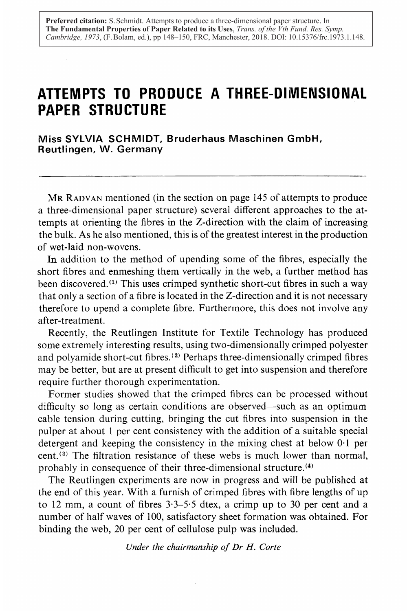# ATTEMPTS TO PRODUCE A THREE-DIMENSIONAL PAPER STRUCTURE

Miss SYLVIA SCHMIDT, Bruderhaus Maschinen GmbH, Reutlingen, W. Germany

MR RADVAN mentioned (in the section on page <sup>145</sup> of attempts to produce a three-dimensional paper structure) several different approaches to the attempts at orienting the fibres in the Z-direction with the claim of increasing the bulk. As he also mentioned, this is of the greatest interest in the production of wet-laid non-wovens.

In addition to the method of upending some of the fibres, especially the short fibres and enmeshing them vertically in the web, a further method has been discovered.(') This uses crimped synthetic short-cut fibres in such a way that only a section of a fibre is located in the Z-direction and it is not necessary therefore to upend a complete fibre . Furthermore, this does not involve any after-treatment.

Recently, the Reutlingen Institute for Textile Technology has produced some extremely interesting results, using two-dimensionally crimped polyester and polyamide short-cut fibres.<sup>(2)</sup> Perhaps three-dimensionally crimped fibres may be better, but are at present difficult to get into suspension and therefore require further thorough experimentation.

Former studies showed that the crimped fibres can be processed without difficulty so long as certain conditions are observed—such as an optimum cable tension during cutting, bringing the cut fibres into suspension in the pulper at about <sup>1</sup> per cent consistency with the addition of a suitable special detergent and keeping the consistency in the mixing chest at below 0-1 per cent. (3) The filtration resistance of these webs is much lower than normal, probably in consequence of their three-dimensional structure.<sup>44</sup>

The Reutlingen experiments are now in progress and will be published at the end of this year. With a furnish of crimped fibres with fibre lengths of up to 12 mm, <sup>a</sup> count of fibres 3-3-5-5 dtex, <sup>a</sup> crimp up to 30 per cent and <sup>a</sup> number of half waves of 100, satisfactory sheet formation was obtained. For binding the web, 20 per cent of cellulose pulp was included.

Under the chairmanship of Dr H. Corte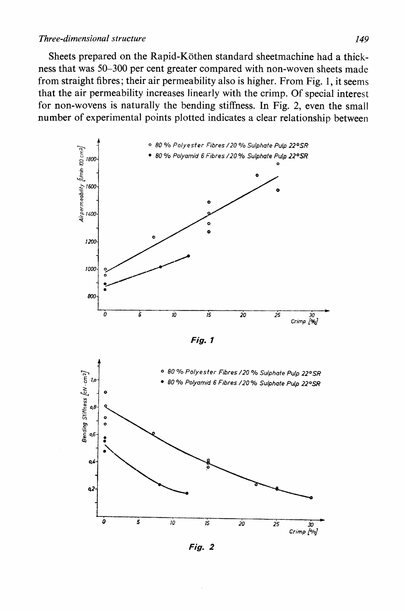#### Three-dimensional structure 149

Sheets prepared on the Rapid-Köthen standard sheetmachine had a thickness that was 50-300 per cent greater compared with non-woven sheets made from straight fibres; their air permeability also is higher. From Fig. 1, it seems that the air permeability increases linearly with the crimp. Of special interest for non-wovens is naturally the bending stiffness. In Fig. 2, even the small number of experimental points plotted indicates a clear relationship between



Fig. 1



Fig. 2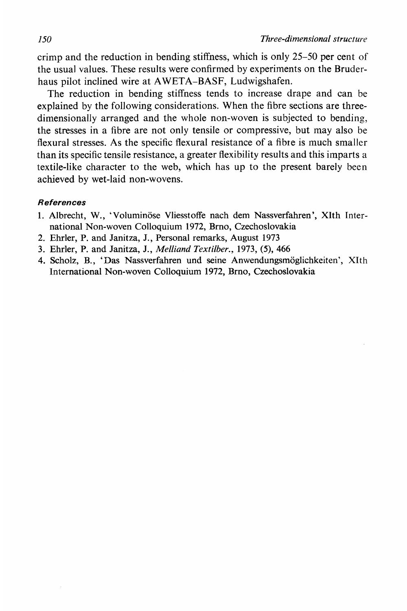crimp and the reduction in bending stiffness, which is only 25–50 per cent of the usual values. These results were confirmed by experiments on the Bruderhaus pilot inclined wire at AWETA-BASF, Ludwigshafen.

The reduction in bending stiffness tends to increase drape and can be explained by the following considerations. When the fibre sections are threedimensionally arranged and the whole non-woven is subjected to bending. the stresses in a fibre are not only tensile or compressive, but may also be flexural stresses. As the specific flexural resistance of a fibre is much smaller than its specific tensile resistance, a greater flexibility results and this imparts a textile-like character to the web, which has up to the present barely been achieved by wet-laid non-wovens.

#### **References**

- 1. Albrecht, W., 'Voluminöse Vliesstoffe nach dem Nassverfahren', XIth International Non-woven Colloquium 1972, Brno, Czechoslovakia
- 2. Ehrler, P. and Janitza, J., Personal remarks, August 1973
- 3. Ehrler, P. and Janitza, J., Melliand Textilber., 1973, (5). 466
- 4. Scholz. B., 'Das Nassverfahren und seine Anwendungsmöglichkeiten'. XIth International Non-woven Colloquium 1972, Brno, Czechoslovakia